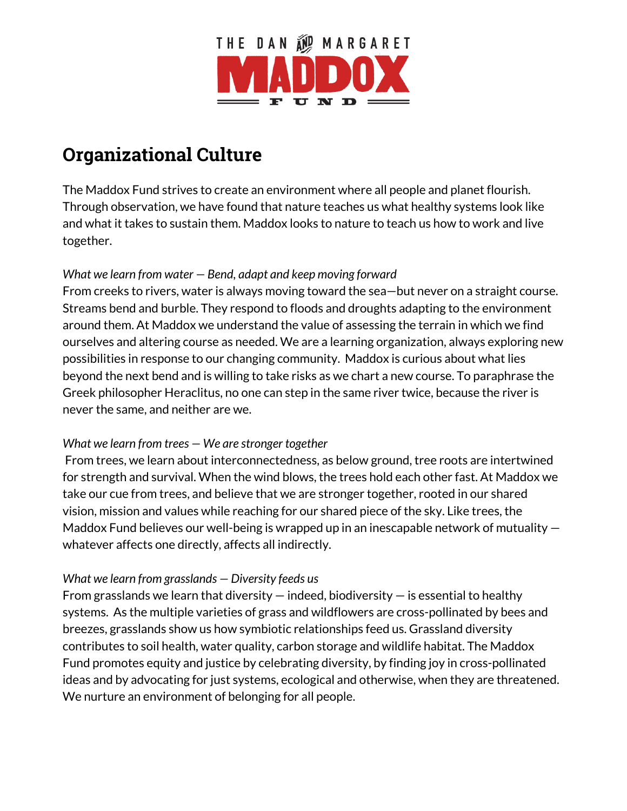

# **Organizational Culture**

The Maddox Fund strives to create an environment where all people and planet flourish. Through observation, we have found that nature teaches us what healthy systems look like and what it takes to sustain them. Maddox looks to nature to teach us how to work and live together.

### *What we learn from water — Bend, adapt and keep moving forward*

From creeks to rivers, water is always moving toward the sea—but never on a straight course. Streams bend and burble. They respond to floods and droughts adapting to the environment around them. At Maddox we understand the value of assessing the terrain in which we find ourselves and altering course as needed. We are a learning organization, always exploring new possibilities in response to our changing community. Maddox is curious about what lies beyond the next bend and is willing to take risks as we chart a new course. To paraphrase the Greek philosopher Heraclitus, no one can step in the same river twice, because the river is never the same, and neither are we.

#### *What we learn from trees — We are stronger together*

From trees, we learn about interconnectedness, as below ground, tree roots are intertwined for strength and survival. When the wind blows, the trees hold each other fast. At Maddox we take our cue from trees, and believe that we are stronger together, rooted in our shared vision, mission and values while reaching for our shared piece of the sky. Like trees, the Maddox Fund believes our well-being is wrapped up in an inescapable network of mutuality whatever affects one directly, affects all indirectly.

# *What we learn from grasslands — Diversity feeds us*

From grasslands we learn that diversity  $-$  indeed, biodiversity  $-$  is essential to healthy systems. As the multiple varieties of grass and wildflowers are cross-pollinated by bees and breezes, grasslands show us how symbiotic relationships feed us. Grassland diversity contributes to soil health, water quality, carbon storage and wildlife habitat. The Maddox Fund promotes equity and justice by celebrating diversity, by finding joy in cross-pollinated ideas and by advocating for just systems, ecological and otherwise, when they are threatened. We nurture an environment of belonging for all people.